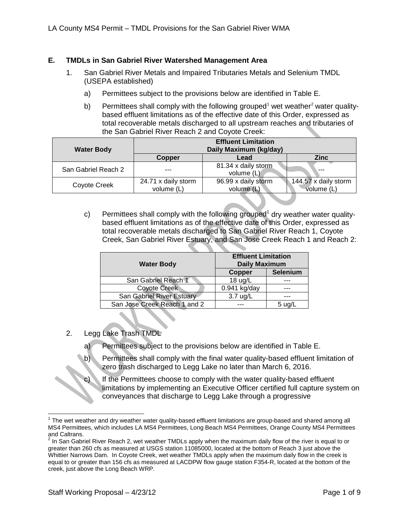## **E. TMDLs in San Gabriel River Watershed Management Area**

- 1. San Gabriel River Metals and Impaired Tributaries Metals and Selenium TMDL (USEPA established)
	- a) Permittees subject to the provisions below are identified in Table E.
	- b) Permittees shall comply with the following grouped<sup>[1](#page-0-0)</sup> wet weather<sup>[2](#page-0-1)</sup> water qualitybased effluent limitations as of the effective date of this Order, expressed as total recoverable metals discharged to all upstream reaches and tributaries of the San Gabriel River Reach 2 and Coyote Creek:

| <b>Water Body</b>   | <b>Effluent Limitation</b><br>Daily Maximum (kg/day)<br><b>Zinc</b><br>Lead<br><b>Copper</b> |                                     |                                    |  |  |
|---------------------|----------------------------------------------------------------------------------------------|-------------------------------------|------------------------------------|--|--|
|                     |                                                                                              |                                     |                                    |  |  |
| San Gabriel Reach 2 | ---                                                                                          | 81.34 x daily storm<br>volume (L)   | $- - -$                            |  |  |
| Coyote Creek        | 24.71 x daily storm<br>volume (L)                                                            | 96.99 x daily storm<br>volume $(L)$ | 144.57 x daily storm<br>volume (L) |  |  |

c) Permittees shall comply with the following grouped<sup>1</sup> dry weather water qualitybased effluent limitations as of the effective date of this Order, expressed as total recoverable metals discharged to San Gabriel River Reach 1, Coyote Creek, San Gabriel River Estuary, and San Jose Creek Reach 1 and Reach 2:

| <b>Water Body</b>            | <b>Effluent Limitation</b><br><b>Daily Maximum</b> |          |
|------------------------------|----------------------------------------------------|----------|
|                              | Copper                                             | Selenium |
| San Gabriel Reach 1          | 18 ug/L                                            |          |
| <b>Coyote Creek</b>          | $0.941$ kg/day                                     |          |
| San Gabriel River Estuary    | 3.7 ug/L                                           |          |
| San Jose Creek Reach 1 and 2 |                                                    | 5 ug/l   |

- 2. Legg Lake Trash TMDL
	- a) Permittees subject to the provisions below are identified in Table E.
	- b) Permittees shall comply with the final water quality-based effluent limitation of zero trash discharged to Legg Lake no later than March 6, 2016.
	- c) If the Permittees choose to comply with the water quality-based effluent limitations by implementing an Executive Officer certified full capture system on conveyances that discharge to Legg Lake through a progressive

<span id="page-0-0"></span> $1$  The wet weather and dry weather water quality-based effluent limitations are group-based and shared among all MS4 Permittees, which includes LA MS4 Permittees, Long Beach MS4 Permittees, Orange County MS4 Permittees and Caltrans.

<span id="page-0-2"></span><span id="page-0-1"></span> $^2$  In San Gabriel River Reach 2, wet weather TMDLs apply when the maximum daily flow of the river is equal to or greater than 260 cfs as measured at USGS station 11085000, located at the bottom of Reach 3 just above the Whittier Narrows Dam. In Coyote Creek, wet weather TMDLs apply when the maximum daily flow in the creek is equal to or greater than 156 cfs as measured at LACDPW flow gauge station F354-R, located at the bottom of the creek, just above the Long Beach WRP.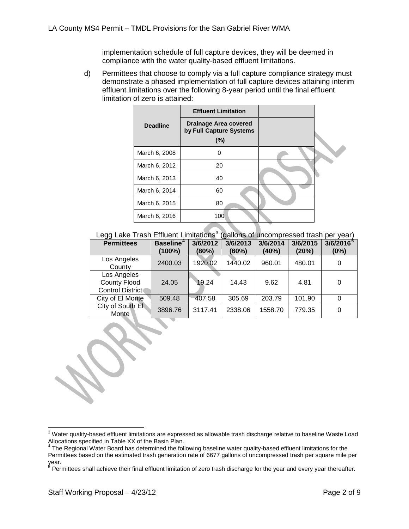implementation schedule of full capture devices, they will be deemed in compliance with the water quality-based effluent limitations.

d) Permittees that choose to comply via a full capture compliance strategy must demonstrate a phased implementation of full capture devices attaining interim effluent limitations over the following 8-year period until the final effluent limitation of zero is attained:

|                 | <b>Effluent Limitation</b>                       |  |
|-----------------|--------------------------------------------------|--|
| <b>Deadline</b> | Drainage Area covered<br>by Full Capture Systems |  |
|                 | $(\%)$                                           |  |
| March 6, 2008   | O                                                |  |
| March 6, 2012   | 20                                               |  |
| March 6, 2013   | 40                                               |  |
| March 6, 2014   | 60                                               |  |
| March 6, 2015   | 80                                               |  |
| March 6, 2016   | 100                                              |  |

Legg Lake Trash Effluent Limitations<sup>[3](#page-0-2)</sup> (gallons of uncompressed trash per year)

| <b>Permittees</b>                                             | <b>Baseline<sup>4</sup></b><br>$(100\%)$ | 3/6/2012<br>(80%) | 3/6/2013<br>(60%) | 3/6/2014<br>(40%) | 3/6/2015<br>(20%) | $3/6/2016^{5}$<br>(0%) |
|---------------------------------------------------------------|------------------------------------------|-------------------|-------------------|-------------------|-------------------|------------------------|
| Los Angeles<br>County                                         | 2400.03                                  | 1920.02           | 1440.02           | 960.01            | 480.01            | 0                      |
| Los Angeles<br><b>County Flood</b><br><b>Control District</b> | 24.05                                    | 19.24             | 14.43             | 9.62              | 4.81              | 0                      |
| City of El Monte                                              | 509.48                                   | 407.58            | 305.69            | 203.79            | 101.90            | 0                      |
| City of South El<br>Monte                                     | 3896.76                                  | 3117.41           | 2338.06           | 1558.70           | 779.35            | 0                      |

 $3$  Water quality-based effluent limitations are expressed as allowable trash discharge relative to baseline Waste Load Allocations specified in Table XX of the Basin Plan.

<span id="page-1-2"></span><span id="page-1-0"></span> $^4$  The Regional Water Board has determined the following baseline water quality-based effluent limitations for the Permittees based on the estimated trash generation rate of 6677 gallons of uncompressed trash per square mile per year.

<span id="page-1-1"></span> $^5$  Permittees shall achieve their final effluent limitation of zero trash discharge for the year and every year thereafter.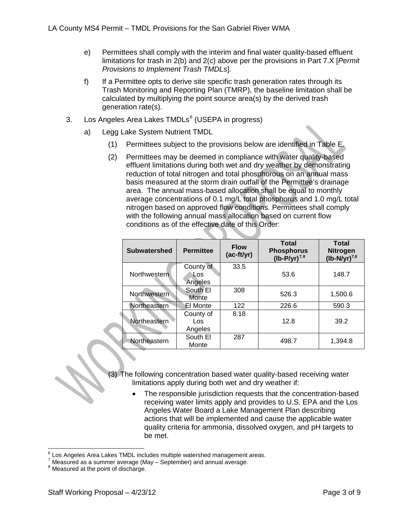- e) Permittees shall comply with the interim and final water quality-based effluent limitations for trash in 2(b) and 2(c) above per the provisions in Part 7.X [*Permit Provisions to Implement Trash TMDLs*].
- f) If a Permittee opts to derive site specific trash generation rates through its Trash Monitoring and Reporting Plan (TMRP), the baseline limitation shall be calculated by multiplying the point source area(s) by the derived trash generation rate(s).
- 3. Los Angeles Area Lakes TMDLs<sup>[6](#page-1-2)</sup> (USEPA in progress)
	- a) Legg Lake System Nutrient TMDL
		- (1) Permittees subject to the provisions below are identified in Table E.
		- (2) Permittees may be deemed in compliance with water quality-based effluent limitations during both wet and dry weather by demonstrating reduction of total nitrogen and total phosphorous on an annual mass basis measured at the storm drain outfall of the Permittee's drainage area. The annual mass-based allocation shall be equal to monthly average concentrations of 0.1 mg/L total phosphorus and 1.0 mg/L total nitrogen based on approved flow conditions. Permittees shall comply with the following annual mass allocation based on current flow conditions as of the effective date of this Order:

| <b>Subwatershed</b> | <b>Permittee</b>             | <b>Flow</b><br>(ac-ft/yr) | <b>Total</b><br><b>Phosphorus</b><br>$(lb-P/yr)^{7,8}$ | <b>Total</b><br><b>Nitrogen</b><br>$(lb-N/yr)^{7,8}$ |
|---------------------|------------------------------|---------------------------|--------------------------------------------------------|------------------------------------------------------|
| Northwestern        | County of<br>Los.<br>Angeles | 33.5                      | 53.6                                                   | 148.7                                                |
| Northwestern        | South El<br>Monte            | 308                       | 526.3                                                  | 1,500.6                                              |
| Northeastern        | El Monte                     | 122                       | 226.6                                                  | 590.3                                                |
| Northeastern        | County of<br>Los<br>Angeles  | 8.18                      | 12.8                                                   | 39.2                                                 |
| Northeastern        | South El<br>Monte            | 287                       | 498.7                                                  | 1,394.8                                              |

(3) The following concentration based water quality-based receiving water limitations apply during both wet and dry weather if:

> The responsible jurisdiction requests that the concentration-based receiving water limits apply and provides to U.S. EPA and the Los Angeles Water Board a Lake Management Plan describing actions that will be implemented and cause the applicable water quality criteria for ammonia, dissolved oxygen, and pH targets to be met.

<span id="page-2-2"></span><span id="page-2-0"></span><sup>&</sup>lt;sup>6</sup> Los Angeles Area Lakes TMDL includes multiple watershed management areas.<br><sup>7</sup> Measured as a summer average (May – September) and annual average.<br><sup>8</sup> Measured at the point of discharge.

<span id="page-2-1"></span>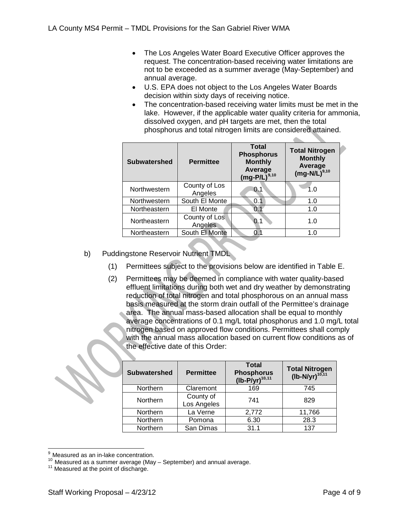- The Los Angeles Water Board Executive Officer approves the request. The concentration-based receiving water limitations are not to be exceeded as a summer average (May-September) and annual average.
- U.S. EPA does not object to the Los Angeles Water Boards decision within sixty days of receiving notice.
- The concentration-based receiving water limits must be met in the lake. However, if the applicable water quality criteria for ammonia, dissolved oxygen, and pH targets are met, then the total phosphorus and total nitrogen limits are considered attained.

| <b>Subwatershed</b> | <b>Permittee</b>         | <b>Total</b><br><b>Phosphorus</b><br><b>Monthly</b><br>Average<br>$(mg-P/L)^{9,10}$ | <b>Total Nitrogen</b><br><b>Monthly</b><br>Average<br>$(mg-N/L)^{9,10}$ |
|---------------------|--------------------------|-------------------------------------------------------------------------------------|-------------------------------------------------------------------------|
| Northwestern        | County of Los<br>Angeles | 0.1                                                                                 | 1.0                                                                     |
| Northwestern        | South El Monte           | 0.1                                                                                 | 1.0                                                                     |
| Northeastern        | El Monte                 | 0.1                                                                                 | 1.0                                                                     |
| Northeastern        | County of Los<br>Angeles | 0.                                                                                  | 1.0                                                                     |
| Northeastern        | South El Monte           | 0.1                                                                                 | 1.0                                                                     |

- b) Puddingstone Reservoir Nutrient TMDL
	- (1) Permittees subject to the provisions below are identified in Table E.
	- (2) Permittees may be deemed in compliance with water quality-based effluent limitations during both wet and dry weather by demonstrating reduction of total nitrogen and total phosphorous on an annual mass basis measured at the storm drain outfall of the Permittee's drainage area. The annual mass-based allocation shall be equal to monthly average concentrations of 0.1 mg/L total phosphorus and 1.0 mg/L total nitrogen based on approved flow conditions. Permittees shall comply with the annual mass allocation based on current flow conditions as of the effective date of this Order:

| <b>Subwatershed</b> | <b>Permittee</b>         | <b>Total</b><br><b>Phosphorus</b><br>$(lb-P/yr)^{10,11}$ | Total Nitrogen<br>(lb-N/yr) <sup>10,11</sup> |
|---------------------|--------------------------|----------------------------------------------------------|----------------------------------------------|
| Northern            | Claremont                | 169                                                      | 745                                          |
| Northern            | County of<br>Los Angeles | 741                                                      | 829                                          |
| Northern            | La Verne                 | 2,772                                                    | 11,766                                       |
| Northern            | Pomona                   | 6.30                                                     | 28.3                                         |
| Northern            | San Dimas                | 31.1                                                     | 137                                          |

<span id="page-3-2"></span><span id="page-3-0"></span><sup>&</sup>lt;sup>9</sup> Measured as an in-lake concentration.<br><sup>10</sup> Measured as a summer average (May – September) and annual average.<br><sup>11</sup> Measured at the point of discharge.

<span id="page-3-1"></span>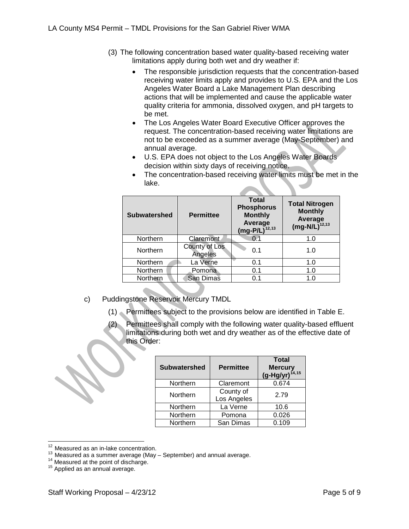- (3) The following concentration based water quality-based receiving water limitations apply during both wet and dry weather if:
	- The responsible jurisdiction requests that the concentration-based receiving water limits apply and provides to U.S. EPA and the Los Angeles Water Board a Lake Management Plan describing actions that will be implemented and cause the applicable water quality criteria for ammonia, dissolved oxygen, and pH targets to be met.
	- The Los Angeles Water Board Executive Officer approves the request. The concentration-based receiving water limitations are not to be exceeded as a summer average (May-September) and annual average.
	- U.S. EPA does not object to the Los Angeles Water Boards decision within sixty days of receiving notice.

| <b>Subwatershed</b> | <b>Permittee</b>         | <b>Total</b><br><b>Phosphorus</b><br><b>Monthly</b><br>Average<br>$(mg-P/L)^{12,13}$ | <b>Total Nitrogen</b><br><b>Monthly</b><br>Average<br>$(mg-N/L)^{12,13}$ |
|---------------------|--------------------------|--------------------------------------------------------------------------------------|--------------------------------------------------------------------------|
| Northern            | Claremont                | 0.1                                                                                  | 1.0                                                                      |
| Northern            | County of Los<br>Angeles | 0.1                                                                                  | 1.0                                                                      |
| Northern            | La Verne                 | 0.1                                                                                  | 1.0                                                                      |
| Northern            | Pomona                   | 0.1                                                                                  | 1.0                                                                      |
| Northern            | San Dimas                | 0 <sub>1</sub>                                                                       | 1.0                                                                      |
|                     |                          |                                                                                      |                                                                          |

• The concentration-based receiving water limits must be met in the lake.

- c) Puddingstone Reservoir Mercury TMDL
	- (1) Permittees subject to the provisions below are identified in Table E.
	- (2) Permittees shall comply with the following water quality-based effluent limitations during both wet and dry weather as of the effective date of this Order:

| <b>Subwatershed</b> | <b>Permittee</b>         | <b>Total</b><br><b>Mercury</b><br>$(g-Hg/yr)^{14,15}$ |
|---------------------|--------------------------|-------------------------------------------------------|
| Northern            | Claremont                | 0.674                                                 |
| Northern            | County of<br>Los Angeles | 2.79                                                  |
| Northern            | La Verne                 | 10.6                                                  |
| Northern            | Pomona                   | 0.026                                                 |
| Northern            | San Dimas                | 0.109                                                 |

<span id="page-4-0"></span><sup>&</sup>lt;sup>12</sup> Measured as an in-lake concentration.<br><sup>13</sup> Measured as a summer average (May – September) and annual average.<br><sup>14</sup> Measured at the point of discharge.<br><sup>15</sup> Applied as an annual average.

<span id="page-4-1"></span>

<span id="page-4-2"></span>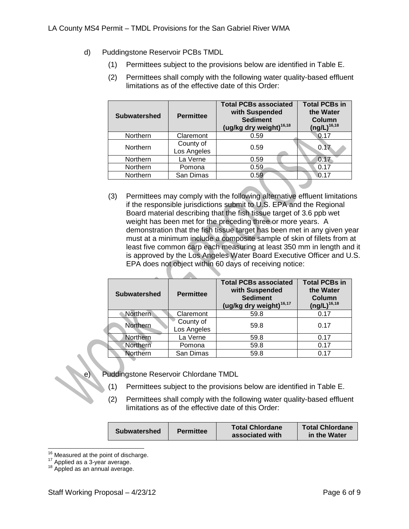- d) Puddingstone Reservoir PCBs TMDL
	- (1) Permittees subject to the provisions below are identified in Table E.
	- (2) Permittees shall comply with the following water quality-based effluent limitations as of the effective date of this Order:

| <b>Subwatershed</b> | <b>Permittee</b>         | <b>Total PCBs associated</b><br>with Suspended<br><b>Sediment</b><br>(ug/kg dry weight) <sup>16,18</sup> | <b>Total PCBs in</b><br>the Water<br>Column<br>$(ng/L)^{16,18}$ |
|---------------------|--------------------------|----------------------------------------------------------------------------------------------------------|-----------------------------------------------------------------|
| Northern            | Claremont                | 0.59                                                                                                     | 0.17                                                            |
| Northern            | County of<br>Los Angeles | 0.59                                                                                                     | 0.1                                                             |
| Northern            | La Verne                 | 0.59                                                                                                     | 0.17                                                            |
| Northern            | Pomona                   | 0.59                                                                                                     | 0.17                                                            |
| Northern            | San Dimas                | 0.59                                                                                                     | 0.17                                                            |

(3) Permittees may comply with the following alternative effluent limitations if the responsible jurisdictions submit to U.S. EPA and the Regional Board material describing that the fish tissue target of 3.6 ppb wet weight has been met for the preceding three or more years. A demonstration that the fish tissue target has been met in any given year must at a minimum include a composite sample of skin of fillets from at least five common carp each measuring at least 350 mm in length and it is approved by the Los Angeles Water Board Executive Officer and U.S. EPA does not object within 60 days of receiving notice:

| <b>Subwatershed</b> | <b>Permittee</b>         | <b>Total PCBs associated</b><br>with Suspended<br><b>Sediment</b><br>(ug/kg dry weight) <sup>16,17</sup> | <b>Total PCBs in</b><br>the Water<br><b>Column</b><br>$(ng/L)^{16,18}$ |
|---------------------|--------------------------|----------------------------------------------------------------------------------------------------------|------------------------------------------------------------------------|
| <b>Northern</b>     | Claremont                | 59.8                                                                                                     | 0.17                                                                   |
| Northern            | County of<br>Los Angeles | 59.8                                                                                                     | 0.17                                                                   |
| Northern            | La Verne                 | 59.8                                                                                                     | 0.17                                                                   |
| Northern            | Pomona                   | 59.8                                                                                                     | 0.17                                                                   |
| Northern            | San Dimas                | 59.8                                                                                                     | 0.17                                                                   |

Puddingstone Reservoir Chlordane TMDL

- (1) Permittees subject to the provisions below are identified in Table E.
- (2) Permittees shall comply with the following water quality-based effluent limitations as of the effective date of this Order:

| <b>Subwatershed</b> | <b>Permittee</b> | <b>Total Chlordane</b><br>associated with | <b>Total Chlordane</b><br>in the Water |
|---------------------|------------------|-------------------------------------------|----------------------------------------|
|                     |                  |                                           |                                        |

<span id="page-5-2"></span><span id="page-5-0"></span><sup>&</sup>lt;sup>16</sup> Measured at the point of discharge.<br><sup>17</sup> Applied as a 3-year average.<br><sup>18</sup> Appled as an annual average.

<span id="page-5-1"></span>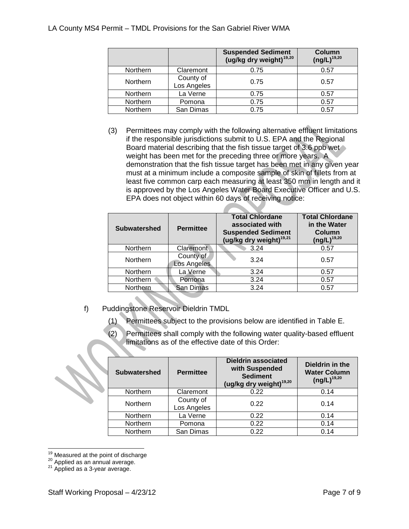|          |                          | <b>Suspended Sediment</b><br>(ug/kg dry weight) <sup>19,20</sup> | Column<br>$(ng/L)^{19,20}$ |
|----------|--------------------------|------------------------------------------------------------------|----------------------------|
| Northern | Claremont                | 0.75                                                             | 0.57                       |
| Northern | County of<br>Los Angeles | 0.75                                                             | 0.57                       |
| Northern | La Verne                 | 0.75                                                             | 0.57                       |
| Northern | Pomona                   | 0.75                                                             | 0.57                       |
| Northern | San Dimas                | 0.75                                                             | 0.57                       |

(3) Permittees may comply with the following alternative effluent limitations if the responsible jurisdictions submit to U.S. EPA and the Regional Board material describing that the fish tissue target of 3.6 ppb wet weight has been met for the preceding three or more years. A demonstration that the fish tissue target has been met in any given year must at a minimum include a composite sample of skin of fillets from at least five common carp each measuring at least 350 mm in length and it is approved by the Los Angeles Water Board Executive Officer and U.S. EPA does not object within 60 days of receiving notice:

| <b>Subwatershed</b> | <b>Permittee</b>         | <b>Total Chlordane</b><br>associated with<br><b>Suspended Sediment</b><br>(ug/kg dry weight) <sup>19,21</sup> | <b>Total Chlordane</b><br>in the Water<br>Column<br>$(ng/L)^{19,20}$ |
|---------------------|--------------------------|---------------------------------------------------------------------------------------------------------------|----------------------------------------------------------------------|
| Northern            | Claremont                | 3.24                                                                                                          | 0.57                                                                 |
| Northern            | County of<br>Los Angeles | 3.24                                                                                                          | 0.57                                                                 |
| Northern            | La Verne                 | 3.24                                                                                                          | 0.57                                                                 |
| Northern            | Pomona                   | 3.24                                                                                                          | 0.57                                                                 |
| Northern            | San Dimas                | 3.24                                                                                                          | 0.57                                                                 |

- f) Puddingstone Reservoir Dieldrin TMDL
	- (1) Permittees subject to the provisions below are identified in Table E.
	- (2) Permittees shall comply with the following water quality-based effluent limitations as of the effective date of this Order:

| <b>Subwatershed</b> | <b>Permittee</b>         | <b>Dieldrin associated</b><br>with Suspended<br><b>Sediment</b><br>(ug/kg dry weight) <sup>19,20</sup> | Dieldrin in the<br><b>Water Column</b><br>$(ng/L)^{19,20}$ |
|---------------------|--------------------------|--------------------------------------------------------------------------------------------------------|------------------------------------------------------------|
| Northern            | Claremont                | 0.22                                                                                                   | 0.14                                                       |
| Northern            | County of<br>Los Angeles | 0.22                                                                                                   | 0.14                                                       |
| Northern            | La Verne                 | 0.22                                                                                                   | 0.14                                                       |
| Northern            | Pomona                   | 0.22                                                                                                   | 0.14                                                       |
| Northern            | San Dimas                | 0.22                                                                                                   | 0.14                                                       |

<span id="page-6-2"></span><span id="page-6-0"></span><sup>&</sup>lt;sup>19</sup> Measured at the point of discharge <sup>20</sup> Applied as an annual average.<br><sup>21</sup> Applied as a 3-year average.

<span id="page-6-1"></span>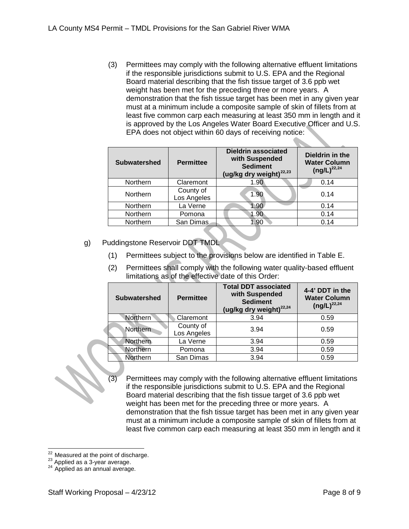(3) Permittees may comply with the following alternative effluent limitations if the responsible jurisdictions submit to U.S. EPA and the Regional Board material describing that the fish tissue target of 3.6 ppb wet weight has been met for the preceding three or more years. A demonstration that the fish tissue target has been met in any given year must at a minimum include a composite sample of skin of fillets from at least five common carp each measuring at least 350 mm in length and it is approved by the Los Angeles Water Board Executive Officer and U.S. EPA does not object within 60 days of receiving notice:

| <b>Subwatershed</b> | <b>Permittee</b>         | <b>Dieldrin associated</b><br>with Suspended<br><b>Sediment</b><br>(ug/kg dry weight) <sup>22,23</sup> | Dieldrin in the<br><b>Water Column</b><br>$(ng/L)^{22,24}$ |
|---------------------|--------------------------|--------------------------------------------------------------------------------------------------------|------------------------------------------------------------|
| Northern            | Claremont                | 1.90                                                                                                   | 0.14                                                       |
| Northern            | County of<br>Los Angeles | 1.90                                                                                                   | 0.14                                                       |
| Northern            | La Verne                 | 1.90                                                                                                   | 0.14                                                       |
| Northern            | Pomona                   | 1.90                                                                                                   | 0.14                                                       |
| Northern            | San Dimas                | 1.90                                                                                                   | 0.14                                                       |

- g) Puddingstone Reservoir DDT TMDL
	- (1) Permittees subject to the provisions below are identified in Table E.
	- (2) Permittees shall comply with the following water quality-based effluent limitations as of the effective date of this Order:

| <b>Subwatershed</b>   | <b>Permittee</b>         | <b>Total DDT associated</b><br>with Suspended<br><b>Sediment</b><br>(ug/kg dry weight) <sup>22,24</sup> | 4-4' DDT in the<br><b>Water Column</b><br>$(ng/L)^{22,24}$ |
|-----------------------|--------------------------|---------------------------------------------------------------------------------------------------------|------------------------------------------------------------|
| Northern <sup>®</sup> | Claremont                | 3.94                                                                                                    | 0.59                                                       |
| Northern              | County of<br>Los Angeles | 3.94                                                                                                    | 0.59                                                       |
| Northern              | La Verne                 | 3.94                                                                                                    | 0.59                                                       |
| Northern              | Pomona                   | 3.94                                                                                                    | 0.59                                                       |
| Northern              | San Dimas                | 3.94                                                                                                    | 0.59                                                       |

(3) Permittees may comply with the following alternative effluent limitations if the responsible jurisdictions submit to U.S. EPA and the Regional Board material describing that the fish tissue target of 3.6 ppb wet weight has been met for the preceding three or more years. A demonstration that the fish tissue target has been met in any given year must at a minimum include a composite sample of skin of fillets from at least five common carp each measuring at least 350 mm in length and it

<span id="page-7-2"></span><span id="page-7-0"></span><sup>&</sup>lt;sup>22</sup> Measured at the point of discharge.<br><sup>23</sup> Applied as a 3-year average.<br><sup>24</sup> Applied as an annual average.

<span id="page-7-1"></span>